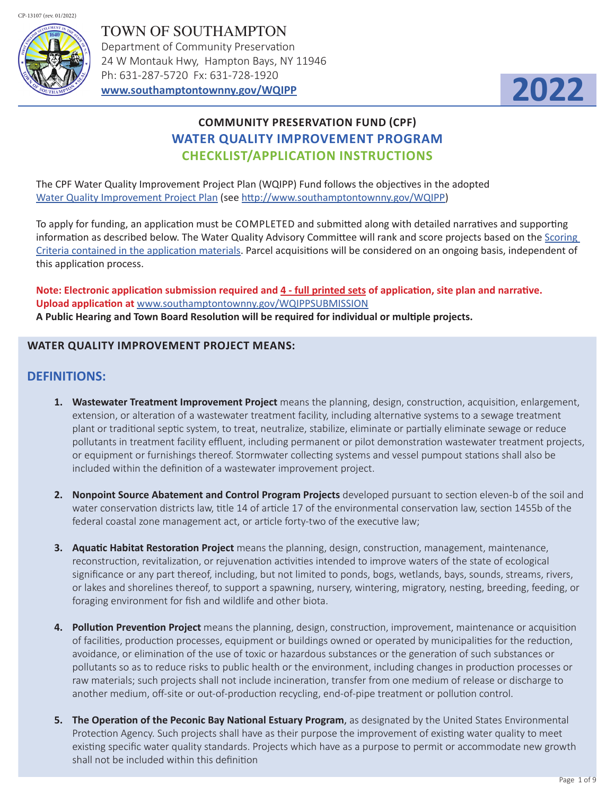



# **COMMUNITY PRESERVATION FUND (CPF) WATER QUALITY IMPROVEMENT PROGRAM CHECKLIST/APPLICATION INSTRUCTIONS**

The CPF Water Quality Improvement Project Plan (WQIPP) Fund follows the objectives in the adopted Water Quality Improvement Project Plan (see http://www.southamptontownny.gov/WQIPP)

To apply for funding, an application must be COMPLETED and submitted along with detailed narratives and supporting information as described below. The Water Quality Advisory Committee will rank and score projects based on the Scoring Criteria contained in the application materials. Parcel acquisitions will be considered on an ongoing basis, independent of this application process.

**Note: Electronic application submission required and 4 - full printed sets of application, site plan and narrative. Upload application at** www.southamptontownny.gov/WQIPPSUBMISSION **A Public Hearing and Town Board Resolution will be required for individual or multiple projects.**

### **WATER QUALITY IMPROVEMENT PROJECT MEANS:**

### **DEFINITIONS:**

- **1. Wastewater Treatment Improvement Project** means the planning, design, construction, acquisition, enlargement, extension, or alteration of a wastewater treatment facility, including alternative systems to a sewage treatment plant or traditional septic system, to treat, neutralize, stabilize, eliminate or partially eliminate sewage or reduce pollutants in treatment facility effluent, including permanent or pilot demonstration wastewater treatment projects, or equipment or furnishings thereof. Stormwater collecting systems and vessel pumpout stations shall also be included within the definition of a wastewater improvement project.
- **2. Nonpoint Source Abatement and Control Program Projects** developed pursuant to section eleven-b of the soil and water conservation districts law, title 14 of article 17 of the environmental conservation law, section 1455b of the federal coastal zone management act, or article forty-two of the executive law;
- **3. Aquatic Habitat Restoration Project** means the planning, design, construction, management, maintenance, reconstruction, revitalization, or rejuvenation activities intended to improve waters of the state of ecological significance or any part thereof, including, but not limited to ponds, bogs, wetlands, bays, sounds, streams, rivers, or lakes and shorelines thereof, to support a spawning, nursery, wintering, migratory, nesting, breeding, feeding, or foraging environment for fish and wildlife and other biota.
- **4. Pollution Prevention Project** means the planning, design, construction, improvement, maintenance or acquisition of facilities, production processes, equipment or buildings owned or operated by municipalities for the reduction, avoidance, or elimination of the use of toxic or hazardous substances or the generation of such substances or pollutants so as to reduce risks to public health or the environment, including changes in production processes or raw materials; such projects shall not include incineration, transfer from one medium of release or discharge to another medium, off-site or out-of-production recycling, end-of-pipe treatment or pollution control.
- **5. The Operation of the Peconic Bay National Estuary Program**, as designated by the United States Environmental Protection Agency. Such projects shall have as their purpose the improvement of existing water quality to meet existing specific water quality standards. Projects which have as a purpose to permit or accommodate new growth shall not be included within this definition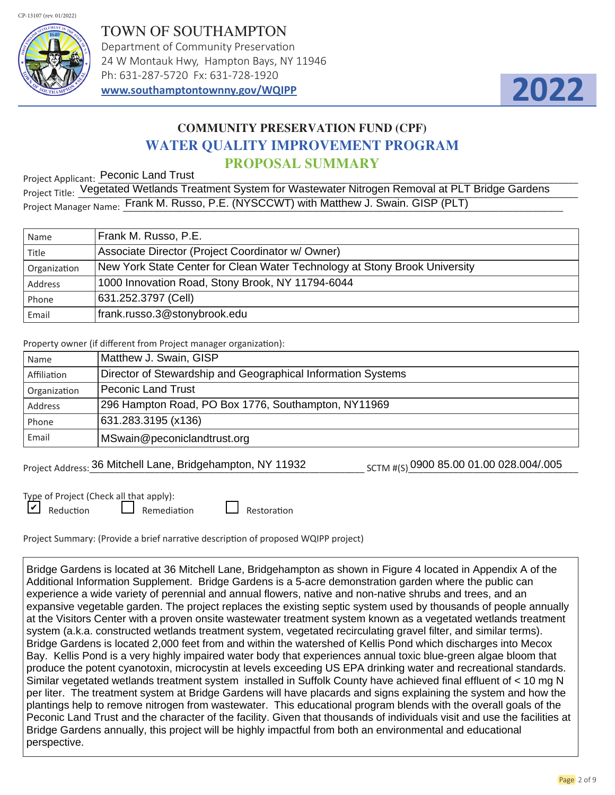

TOWN OF SOUTHAMPTON Department of Community Preservation 24 W Montauk Hwy, Hampton Bays, NY 11946 Ph: 631-287-5720 Fx: 631-728-1920 **www.southamptontownny.gov/WQIPP**



# **COMMUNITY PRESERVATION FUND (CPF) WATER QUALITY IMPROVEMENT PROGRAM PROPOSAL SUMMARY**

Project Applicant: Peconic Land Trust

Project Applicant: \_\_\_\_\_\_\_\_\_\_\_\_\_\_\_\_\_\_\_\_\_\_\_\_\_\_\_\_\_\_\_\_\_\_\_\_\_\_\_\_\_\_\_\_\_\_\_\_\_\_\_\_\_\_\_\_\_\_\_\_\_\_\_\_\_\_\_\_\_\_\_\_\_\_\_\_\_\_\_\_\_\_\_\_\_\_\_\_\_\_\_\_\_\_\_\_ Project Title: Vegetated Wetlands Treatment System for Wastewater Nitrogen Removal at PLT Bridge Gardens Project Manager Name: Frank M. Russo, P.E. (NYSCCWT) with Matthew J. Swain. GISP (PLT)

| Name         | Frank M. Russo, P.E.                                                       |
|--------------|----------------------------------------------------------------------------|
| Title        | Associate Director (Project Coordinator w/ Owner)                          |
| Organization | New York State Center for Clean Water Technology at Stony Brook University |
| Address      | 1000 Innovation Road, Stony Brook, NY 11794-6044                           |
| Phone        | 631.252.3797 (Cell)                                                        |
| Email        | frank.russo.3@stonybrook.edu                                               |

Property owner (if different from Project manager organization):

| Name         | Matthew J. Swain, GISP                                       |
|--------------|--------------------------------------------------------------|
| Affiliation  | Director of Stewardship and Geographical Information Systems |
| Organization | <b>Peconic Land Trust</b>                                    |
| Address      | 296 Hampton Road, PO Box 1776, Southampton, NY11969          |
| Phone        | 631.283.3195 (x136)                                          |
| Email        | MSwain@peconiclandtrust.org                                  |

Project Address: 36 Mitchell Lane, Bridgehampton, NY 11932 SCTM #(S) 0900 85.00 01.00 028.004/.005

Type of Project (Check all that apply):  $\Box$  Reduction  $\Box$  Remediation  $\Box$  Restoration

Project Summary: (Provide a brief narrative description of proposed WQIPP project)

Bridge Gardens is located at 36 Mitchell Lane, Bridgehampton as shown in Figure 4 located in Appendix A of the Additional Information Supplement. Bridge Gardens is a 5-acre demonstration garden where the public can experience a wide variety of perennial and annual flowers, native and non-native shrubs and trees, and an expansive vegetable garden. The project replaces the existing septic system used by thousands of people annually at the Visitors Center with a proven onsite wastewater treatment system known as a vegetated wetlands treatment system (a.k.a. constructed wetlands treatment system, vegetated recirculating gravel filter, and similar terms). Bridge Gardens is located 2,000 feet from and within the watershed of Kellis Pond which discharges into Mecox Bay. Kellis Pond is a very highly impaired water body that experiences annual toxic blue-green algae bloom that produce the potent cyanotoxin, microcystin at levels exceeding US EPA drinking water and recreational standards. Similar vegetated wetlands treatment system installed in Suffolk County have achieved final effluent of < 10 mg N per liter. The treatment system at Bridge Gardens will have placards and signs explaining the system and how the plantings help to remove nitrogen from wastewater. This educational program blends with the overall goals of the Peconic Land Trust and the character of the facility. Given that thousands of individuals visit and use the facilities at Bridge Gardens annually, this project will be highly impactful from both an environmental and educational perspective.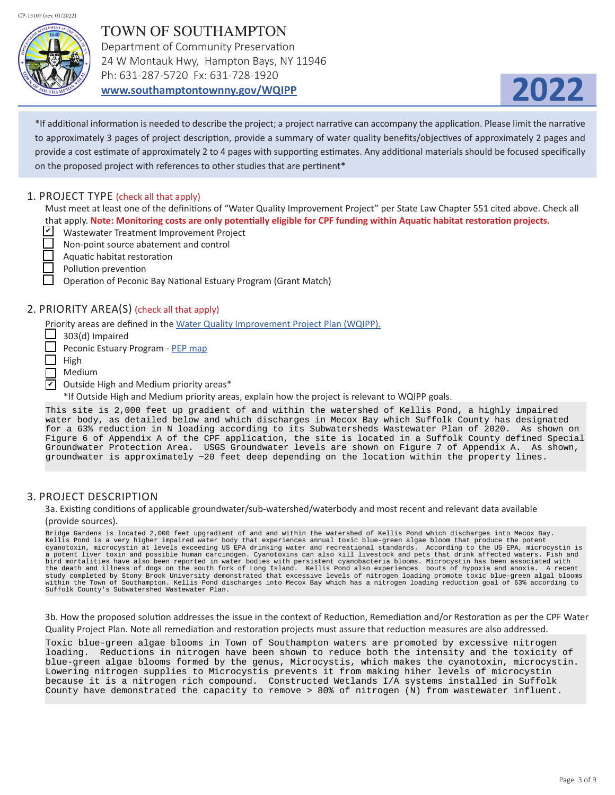

# TOWN OF SOUTHAMPTON Department of Community Preservation 24 W Montauk Hwy, Hampton Bays, NY 11946

Ph: 631-287-5720 Fx: 631-728-1920

**www.southamptontownny.gov/WQIPP**



\*If additional information is needed to describe the project; a project narrative can accompany the application. Please limit the narrative to approximately 3 pages of project description, provide a summary of water quality benefits/objectives of approximately 2 pages and provide a cost estimate of approximately 2 to 4 pages with supporting estimates. Any additional materials should be focused specifically on the proposed project with references to other studies that are pertinent\*

#### 1. PROJECT TYPE (check all that apply)

Must meet at least one of the definitions of "Water Quality Improvement Project" per State Law Chapter 551 cited above. Check all that apply. **Note: Monitoring costs are only potentially eligible for CPF funding within Aquatic habitat restoration projects.**

- Wastewater Treatment Improvement Project
- Non-point source abatement and control
- Aquatic habitat restoration
	- Pollution prevention
	- Operation of Peconic Bay National Estuary Program (Grant Match)

### 2. PRIORITY AREA(S) (check all that apply)

Priority areas are defined in the Water Quality Improvement Project Plan (WQIPP).

- $\Box$  303(d) Impaired
- Peconic Estuary Program PEP map
- $\Box$  High
- Medium
- $\nabla$  Outside High and Medium priority areas\*

\*If Outside High and Medium priority areas, explain how the project is relevant to WQIPP goals.

This site is 2,000 feet up gradient of and within the watershed of Kellis Pond, a highly impaired water body, as detailed below and which discharges in Mecox Bay which Suffolk County has designated for a 63% reduction in N loading according to its Subwatersheds Wastewater Plan of 2020. As shown on Figure 6 of Appendix A of the CPF application, the site is located in a Suffolk County defined Special Groundwater Protection Area. USGS Groundwater levels are shown on Figure 7 of Appendix A. As shown, groundwater is approximately ~20 feet deep depending on the location within the property lines.

#### 3. PROJECT DESCRIPTION

3a. Existing conditions of applicable groundwater/sub-watershed/waterbody and most recent and relevant data available (provide sources).

Bridge Gardens is located 2,000 feet upgradient of and and within the watershed of Kellis Pond which discharges into Mecox Bay. Kellis Pond is a very higher impaired water body that experiences annual toxic blue-green algae bloom that produce the potent cyanotoxin, microcystin at levels exceeding US EPA drinking water and recreational standards. According to the US EPA, microcystin is a potent liver toxin and possible human carcinogen. Cyanotoxins can also kill livestock and pets that drink affected waters. Fish and bird mortalities have also been reported in water bodies with persistent cyanobacteria blooms. Microcystin has been associated with the death and illness of dogs on the south fork of Long Island. Kellis Pond also experiences bouts of hypoxia and anoxia. A recent study completed by Stony Brook University demonstrated that excessive levels of nitrogen loading promote toxic blue-green algal blooms<br>within the Town of Southampton. Kellis Pond discharges into Mecox Bay which has a nitro Suffolk County's Subwatershed Wastewater Plan.

3b. How the proposed solution addresses the issue in the context of Reduction, Remediation and/or Restoration as per the CPF Water Quality Project Plan. Note all remediation and restoration projects must assure that reduction measures are also addressed.

Toxic blue-green algae blooms in Town of Southampton waters are promoted by excessive nitrogen loading. Reductions in nitrogen have been shown to reduce both the intensity and the toxicity of blue-green algae blooms formed by the genus, Microcystis, which makes the cyanotoxin, microcystin. Lowering nitrogen supplies to Microcystis prevents it from making hiher levels of microcystin because it is a nitrogen rich compound. Constructed Wetlands I/A systems installed in Suffolk County have demonstrated the capacity to remove > 80% of nitrogen (N) from wastewater influent.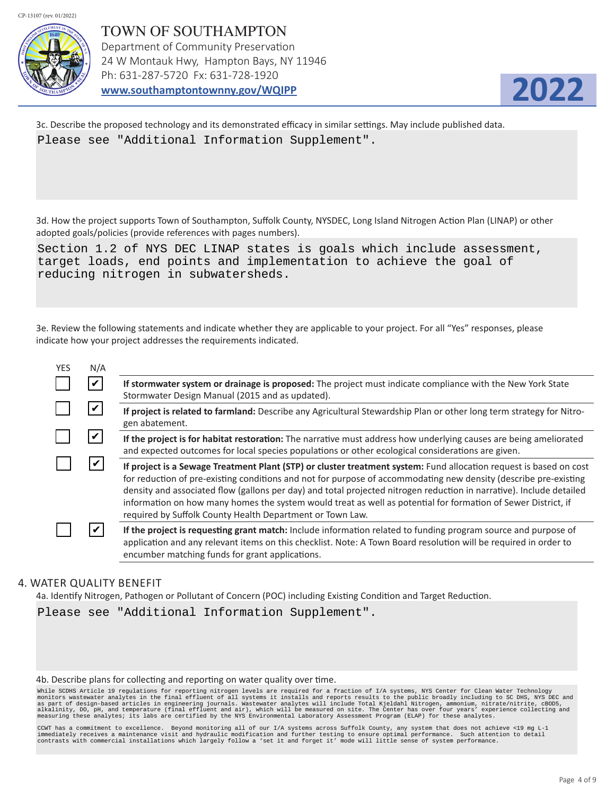

TOWN OF SOUTHAMPTON Department of Community Preservation 24 W Montauk Hwy, Hampton Bays, NY 11946 Ph: 631-287-5720 Fx: 631-728-1920 **www.southamptontownny.gov/WQIPP**



3c. Describe the proposed technology and its demonstrated efficacy in similar settings. May include published data. Please see "Additional Information Supplement".

3d. How the project supports Town of Southampton, Suffolk County, NYSDEC, Long Island Nitrogen Action Plan (LINAP) or other adopted goals/policies (provide references with pages numbers).

Section 1.2 of NYS DEC LINAP states is goals which include assessment, target loads, end points and implementation to achieve the goal of reducing nitrogen in subwatersheds.

3e. Review the following statements and indicate whether they are applicable to your project. For all "Yes" responses, please indicate how your project addresses the requirements indicated.

| <b>YES</b> | N/A                |                                                                                                                                                                                                                                                                                                                                                                                                                                                                                                                                              |
|------------|--------------------|----------------------------------------------------------------------------------------------------------------------------------------------------------------------------------------------------------------------------------------------------------------------------------------------------------------------------------------------------------------------------------------------------------------------------------------------------------------------------------------------------------------------------------------------|
|            | $\boldsymbol{\nu}$ | If stormwater system or drainage is proposed: The project must indicate compliance with the New York State<br>Stormwater Design Manual (2015 and as updated).                                                                                                                                                                                                                                                                                                                                                                                |
|            |                    | If project is related to farmland: Describe any Agricultural Stewardship Plan or other long term strategy for Nitro-<br>gen abatement.                                                                                                                                                                                                                                                                                                                                                                                                       |
|            |                    | If the project is for habitat restoration: The narrative must address how underlying causes are being ameliorated<br>and expected outcomes for local species populations or other ecological considerations are given.                                                                                                                                                                                                                                                                                                                       |
|            | V                  | If project is a Sewage Treatment Plant (STP) or cluster treatment system: Fund allocation request is based on cost<br>for reduction of pre-existing conditions and not for purpose of accommodating new density (describe pre-existing<br>density and associated flow (gallons per day) and total projected nitrogen reduction in narrative). Include detailed<br>information on how many homes the system would treat as well as potential for formation of Sewer District, if<br>required by Suffolk County Health Department or Town Law. |
|            |                    | If the project is requesting grant match: Include information related to funding program source and purpose of<br>application and any relevant items on this checklist. Note: A Town Board resolution will be required in order to<br>encumber matching funds for grant applications.                                                                                                                                                                                                                                                        |
|            |                    |                                                                                                                                                                                                                                                                                                                                                                                                                                                                                                                                              |

#### 4. WATER QUALITY BENEFIT

4a. Identify Nitrogen, Pathogen or Pollutant of Concern (POC) including Existing Condition and Target Reduction.

Please see "Additional Information Supplement".

#### 4b. Describe plans for collecting and reporting on water quality over time.

While SCDHS Article 19 regulations for reporting nitrogen levels are required for a fraction of I/A systems, NYS Center for Clean Water Technology<br>monitors wastewater analytes in the final effluent of all systems it instal

CCWT has a commitment to excellence. Beyond monitoring all of our I/A systems across Suffolk County, any system that does not achieve <19 mg L-1<br>immediately receives a maintenance visit and hydraulic modification and furth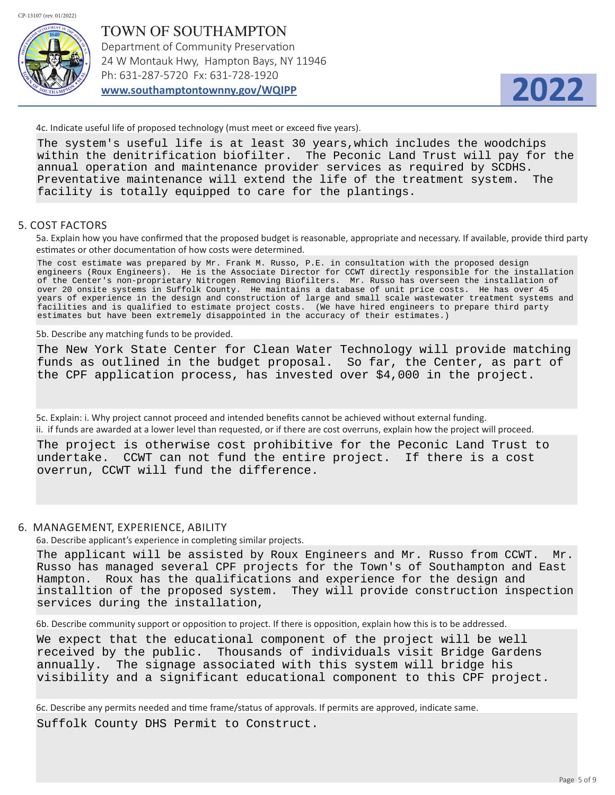

TOWN OF SOUTHAMPTON Department of Community Preservation 24 W Montauk Hwy, Hampton Bays, NY 11946 Ph: 631-287-5720 Fx: 631-728-1920 **www.southamptontownny.gov/WQIPP**



4c. Indicate useful life of proposed technology (must meet or exceed five years).

The system's useful life is at least 30 years,which includes the woodchips within the denitrification biofilter. The Peconic Land Trust will pay for the annual operation and maintenance provider services as required by SCDHS. Preventative maintenance will extend the life of the treatment system. The facility is totally equipped to care for the plantings.

#### 5. COST FACTORS

5a. Explain how you have confirmed that the proposed budget is reasonable, appropriate and necessary. If available, provide third party estimates or other documentation of how costs were determined.

The cost estimate was prepared by Mr. Frank M. Russo, P.E. in consultation with the proposed design engineers (Roux Engineers). He is the Associate Director for CCWT directly responsible for the installation of the Center's non-proprietary Nitrogen Removing Biofilters. Mr. Russo has overseen the installation of over 20 onsite systems in Suffolk County. He maintains a database of unit price costs. He has over 45 years of experience in the design and construction of large and small scale wastewater treatment systems and facilities and is qualified to estimate project costs. (We have hired engineers to prepare third party estimates but have been extremely disappointed in the accuracy of their estimates.)

5b. Describe any matching funds to be provided.

The New York State Center for Clean Water Technology will provide matching funds as outlined in the budget proposal. So far, the Center, as part of the CPF application process, has invested over \$4,000 in the project.

5c. Explain: i. Why project cannot proceed and intended benefits cannot be achieved without external funding. ii. if funds are awarded at a lower level than requested, or if there are cost overruns, explain how the project will proceed.

The project is otherwise cost prohibitive for the Peconic Land Trust to undertake. CCWT can not fund the entire project. If there is a cost overrun, CCWT will fund the difference.

#### 6. MANAGEMENT, EXPERIENCE, ABILITY

6a. Describe applicant's experience in completing similar projects.

The applicant will be assisted by Roux Engineers and Mr. Russo from CCWT. Mr. Russo has managed several CPF projects for the Town's of Southampton and East Hampton. Roux has the qualifications and experience for the design and installtion of the proposed system. They will provide construction inspection services during the installation,

6b. Describe community support or opposition to project. If there is opposition, explain how this is to be addressed.

We expect that the educational component of the project will be well received by the public. Thousands of individuals visit Bridge Gardens annually. The signage associated with this system will bridge his visibility and a significant educational component to this CPF project.

6c. Describe any permits needed and time frame/status of approvals. If permits are approved, indicate same.

Suffolk County DHS Permit to Construct.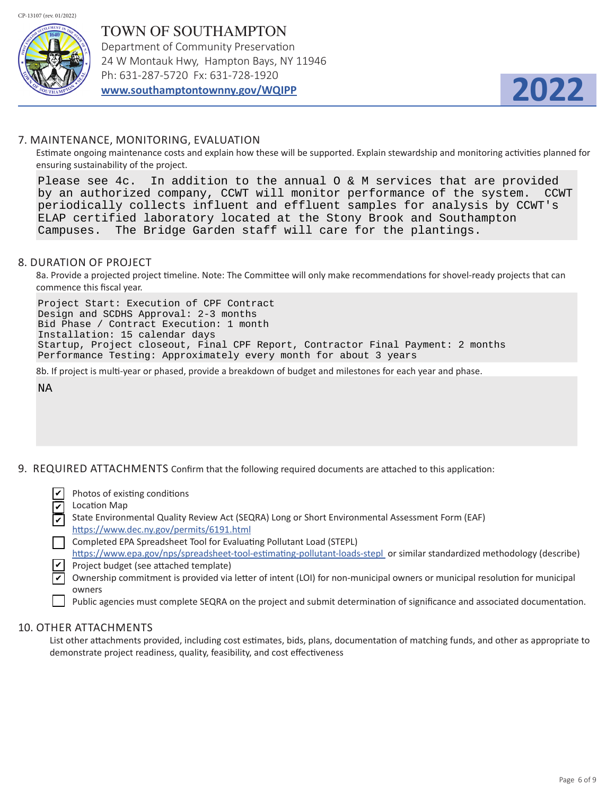

TOWN OF SOUTHAMPTON Department of Community Preservation 24 W Montauk Hwy, Hampton Bays, NY 11946 Ph: 631-287-5720 Fx: 631-728-1920 **www.southamptontownny.gov/WQIPP**



### 7. MAINTENANCE, MONITORING, EVALUATION

Estimate ongoing maintenance costs and explain how these will be supported. Explain stewardship and monitoring activities planned for ensuring sustainability of the project.

Please see 4c. In addition to the annual O & M services that are provided by an authorized company, CCWT will monitor performance of the system. CCWT periodically collects influent and effluent samples for analysis by CCWT's ELAP certified laboratory located at the Stony Brook and Southampton Campuses. The Bridge Garden staff will care for the plantings.

#### 8. DURATION OF PROJECT

8a. Provide a projected project timeline. Note: The Committee will only make recommendations for shovel-ready projects that can commence this fiscal year.

Project Start: Execution of CPF Contract Design and SCDHS Approval: 2-3 months Bid Phase / Contract Execution: 1 month Installation: 15 calendar days Startup, Project closeout, Final CPF Report, Contractor Final Payment: 2 months Performance Testing: Approximately every month for about 3 years

8b. If project is multi-year or phased, provide a breakdown of budget and milestones for each year and phase.

NA

9. REQUIRED ATTACHMENTS Confirm that the following required documents are attached to this application:

 Photos of existing conditions ✔

- Location Map State Environmental Quality Review Act (SEQRA) Long or Short Environmental Assessment Form (EAF) ✔
- https://www.dec.ny.gov/permits/6191.html ✔
- Completed EPA Spreadsheet Tool for Evaluating Pollutant Load (STEPL)
- https://www.epa.gov/nps/spreadsheet-tool-estimating-pollutant-loads-stepl or similar standardized methodology (describe)  $\angle$  Project budget (see attached template)
- Ownership commitment is provided via letter of intent (LOI) for non-municipal owners or municipal resolution for municipal ✔
	- owners
		- Public agencies must complete SEQRA on the project and submit determination of significance and associated documentation.

#### 10. OTHER ATTACHMENTS

List other attachments provided, including cost estimates, bids, plans, documentation of matching funds, and other as appropriate to demonstrate project readiness, quality, feasibility, and cost effectiveness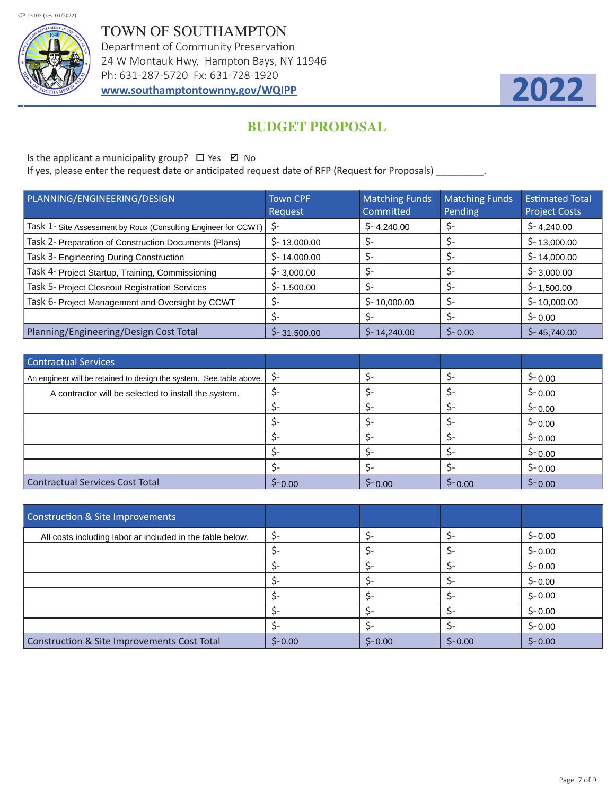

TOWN OF SOUTHAMPTON Department of Community Preservation 24 W Montauk Hwy, Hampton Bays, NY 11946 Ph: 631-287-5720 Fx: 631-728-1920 **www.southamptontownny.gov/WQIPP**



# **BUDGET PROPOSAL**

Is the applicant a municipality group?  $\Box$  Yes  $\boxtimes$  No

If yes, please enter the request date or anticipated request date of RFP (Request for Proposals) \_\_\_\_\_\_\_\_\_.

| PLANNING/ENGINEERING/DESIGN                                    | <b>Town CPF</b><br>Request | <b>Matching Funds</b><br>Committed | <b>Matching Funds</b><br>Pending | <b>Estimated Total</b><br><b>Project Costs</b> |
|----------------------------------------------------------------|----------------------------|------------------------------------|----------------------------------|------------------------------------------------|
| Task 1- Site Assessment by Roux (Consulting Engineer for CCWT) | \$-                        | $$-4,240.00$                       |                                  | $$-4,240.00$                                   |
| Task 2- Preparation of Construction Documents (Plans)          | $$-13,000.00$              |                                    |                                  | $$-13,000.00$                                  |
| Task 3- Engineering During Construction                        | $$-14,000.00$              | S-                                 |                                  | $$-14,000.00$                                  |
| Task 4- Project Startup, Training, Commissioning               | $$-3,000.00$               |                                    |                                  | $$-3,000.00$                                   |
| Task 5- Project Closeout Registration Services                 | $$-1,500.00$               |                                    |                                  | $$-1,500.00$                                   |
| Task 6- Project Management and Oversight by CCWT               | \$-                        | $$-10,000.00$                      |                                  | $$-10,000.00$                                  |
|                                                                | \$-                        | \$-                                |                                  | $$-0.00$                                       |
| Planning/Engineering/Design Cost Total                         | $5 - 31,500.00$            | $$-14,240.00$                      | $5 - 0.00$                       | $5 - 45,740.00$                                |

| Contractual Services                                                |            |            |          |          |
|---------------------------------------------------------------------|------------|------------|----------|----------|
| An engineer will be retained to design the system. See table above. | \$-        |            |          | $$-0.00$ |
| A contractor will be selected to install the system.                |            |            |          | $$-0.00$ |
|                                                                     |            |            |          | $$-0.00$ |
|                                                                     |            |            |          | $$-0.00$ |
|                                                                     |            |            |          | $$-0.00$ |
|                                                                     |            |            |          | $$-0.00$ |
|                                                                     |            |            |          | $$-0.00$ |
| <b>Contractual Services Cost Total</b>                              | $5 - 0.00$ | $5 - 0.00$ | $$-0.00$ | $$-0.00$ |

| Construction & Site Improvements                          |          |           |          |          |
|-----------------------------------------------------------|----------|-----------|----------|----------|
| All costs including labor ar included in the table below. | \$-      |           |          | $$-0.00$ |
|                                                           |          |           |          | $$-0.00$ |
|                                                           | Ś-       |           |          | $$-0.00$ |
|                                                           |          |           |          | $$-0.00$ |
|                                                           |          |           |          | $$-0.00$ |
|                                                           |          |           |          | $$-0.00$ |
|                                                           |          |           |          | $$-0.00$ |
| Construction & Site Improvements Cost Total               | $$-0.00$ | $$ -0.00$ | $$-0.00$ | $$-0.00$ |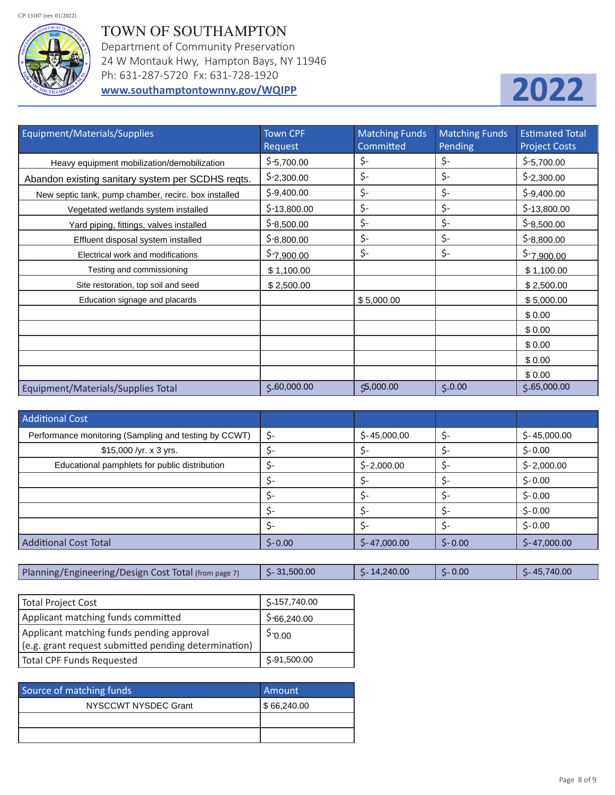# TOWN OF SOUTHAMPTON

Department of Community Preservation 24 W Montauk Hwy, Hampton Bays, NY 11946 Ph: 631-287-5720 Fx: 631-728-1920 **www.southamptontownny.gov/WQIPP**



| Equipment/Materials/Supplies                         | <b>Town CPF</b><br>Request | Matching Funds<br>Committed | <b>Matching Funds</b><br>Pending | <b>Estimated Total</b><br><b>Project Costs</b> |
|------------------------------------------------------|----------------------------|-----------------------------|----------------------------------|------------------------------------------------|
| Heavy equipment mobilization/demobilization          | $$-5,700.00$               | \$-                         | \$-                              | $$-5,700.00$                                   |
| Abandon existing sanitary system per SCDHS reqts.    | $$-2,300.00$               | \$-                         | \$-                              | $$-2,300.00$                                   |
| New septic tank, pump chamber, recirc. box installed | $$-9,400.00$               | \$-                         | \$-                              | $$ -9,400.00$                                  |
| Vegetated wetlands system installed                  | $$-13,800.00$              | \$-                         | \$-                              | $$-13,800.00$                                  |
| Yard piping, fittings, valves installed              | $$-8,500.00$               | \$-                         | \$-                              | $$-8,500.00$                                   |
| Effluent disposal system installed                   | $5 - 8,800.00$             | \$-                         | \$-                              | $$-8,800.00$                                   |
| Electrical work and modifications                    | $5 - 7,900.00$             | \$-                         | \$-                              | <u>\$-7,900.00</u>                             |
| Testing and commissioning                            | \$1,100.00                 |                             |                                  | \$1,100.00                                     |
| Site restoration, top soil and seed                  | \$2,500.00                 |                             |                                  | \$2,500.00                                     |
| Education signage and placards                       |                            | \$5,000.00                  |                                  | \$5,000.00                                     |
|                                                      |                            |                             |                                  | \$0.00                                         |
|                                                      |                            |                             |                                  | \$0.00                                         |
|                                                      |                            |                             |                                  | \$0.00                                         |
|                                                      |                            |                             |                                  | \$0.00                                         |
|                                                      |                            |                             |                                  | \$0.00                                         |
| Equipment/Materials/Supplies Total                   | $5 - 60,000.00$            | \$5,000.00                  | $5 - 0.00$                       | 5.65,000.00                                    |

| <b>Additional Cost</b>                                |           |               |          |               |
|-------------------------------------------------------|-----------|---------------|----------|---------------|
| Performance monitoring (Sampling and testing by CCWT) | \$-       | $$-45,000.00$ |          | $$-45,000.00$ |
| $$15,000$ /yr. x 3 yrs.                               | \$-       |               |          | $$-0.00$      |
| Educational pamphlets for public distribution         | \$-       | $$-2,000.00$  |          | $$-2,000.00$  |
|                                                       | \$-       |               |          | $$-0.00$      |
|                                                       |           |               |          | $$-0.00$      |
|                                                       | \$-       | \$-           |          | $$-0.00$      |
|                                                       | \$-       | Ś-            |          | $$-0.00$      |
| <b>Additional Cost Total</b>                          | $$ -0.00$ | $$-47,000.00$ | $$-0.00$ | $$-47,000.00$ |

| Planning/Engineering/Design Cost Total (from page 7) | .500.00<br>$C - 31$ | .240.00<br>14 | 0.00 | 740.00<br>$\overline{AB}$ |
|------------------------------------------------------|---------------------|---------------|------|---------------------------|
|------------------------------------------------------|---------------------|---------------|------|---------------------------|

| Total Project Cost                                   | \$-157,740.00 |
|------------------------------------------------------|---------------|
| Applicant matching funds committed                   | $$-66,240.00$ |
| Applicant matching funds pending approval            | $5 - 0.00$    |
| (e.g. grant request submitted pending determination) |               |
| Total CPF Funds Requested                            | $$-91,500.00$ |

| Source of matching funds | Amount      |
|--------------------------|-------------|
| NYSCCWT NYSDEC Grant     | 5 66,240.00 |
|                          |             |
|                          |             |